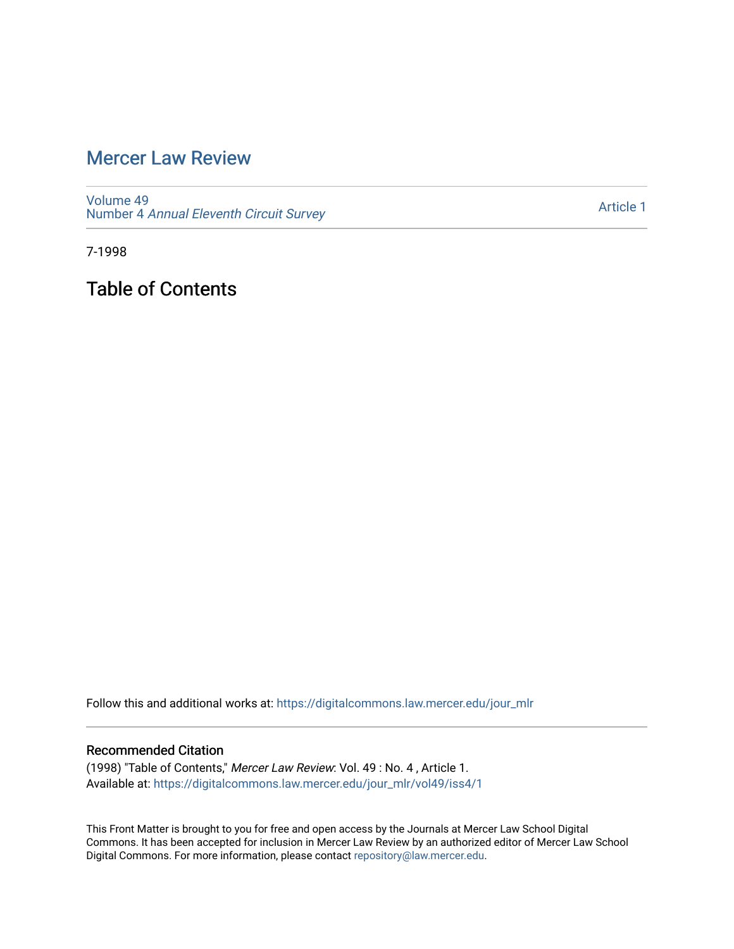# [Mercer Law Review](https://digitalcommons.law.mercer.edu/jour_mlr)

[Volume 49](https://digitalcommons.law.mercer.edu/jour_mlr/vol49) Number 4 [Annual Eleventh Circuit Survey](https://digitalcommons.law.mercer.edu/jour_mlr/vol49/iss4) 

[Article 1](https://digitalcommons.law.mercer.edu/jour_mlr/vol49/iss4/1) 

7-1998

Table of Contents

Follow this and additional works at: [https://digitalcommons.law.mercer.edu/jour\\_mlr](https://digitalcommons.law.mercer.edu/jour_mlr?utm_source=digitalcommons.law.mercer.edu%2Fjour_mlr%2Fvol49%2Fiss4%2F1&utm_medium=PDF&utm_campaign=PDFCoverPages)

#### Recommended Citation

(1998) "Table of Contents," Mercer Law Review: Vol. 49 : No. 4 , Article 1. Available at: [https://digitalcommons.law.mercer.edu/jour\\_mlr/vol49/iss4/1](https://digitalcommons.law.mercer.edu/jour_mlr/vol49/iss4/1?utm_source=digitalcommons.law.mercer.edu%2Fjour_mlr%2Fvol49%2Fiss4%2F1&utm_medium=PDF&utm_campaign=PDFCoverPages)

This Front Matter is brought to you for free and open access by the Journals at Mercer Law School Digital Commons. It has been accepted for inclusion in Mercer Law Review by an authorized editor of Mercer Law School Digital Commons. For more information, please contact [repository@law.mercer.edu](mailto:repository@law.mercer.edu).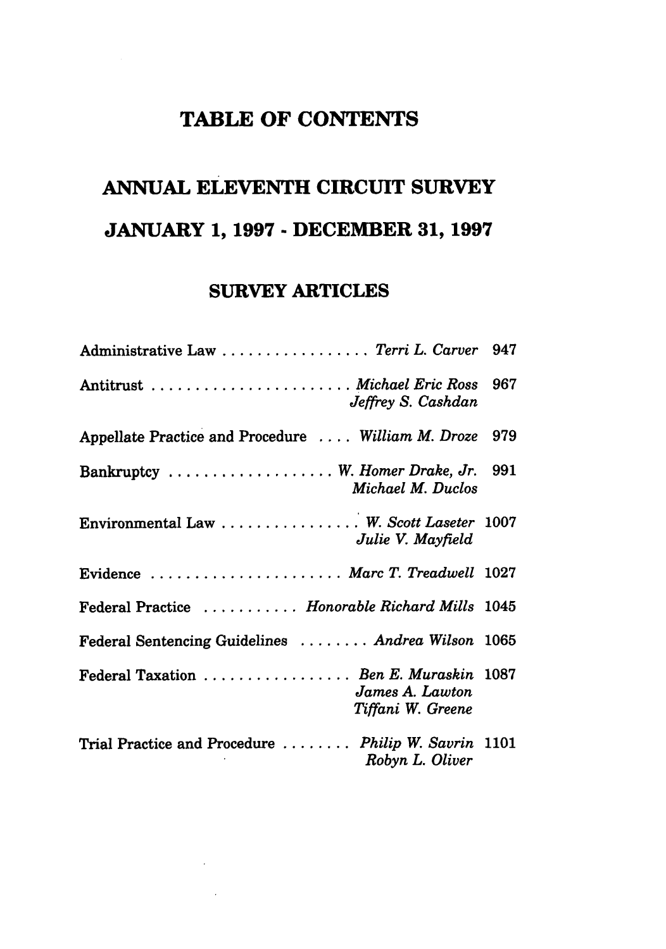## **TABLE OF CONTENTS**

# **ANNUAL ELEVENTH CIRCUIT SURVEY JANUARY 1, 1997 - DECEMBER 31, 1997**

## **SURVEY ARTICLES**

| Administrative Law  Terri L. Carver 947                                        |  |
|--------------------------------------------------------------------------------|--|
| Antitrust  Michael Eric Ross 967<br>Jeffrey S. Cashdan                         |  |
| Appellate Practice and Procedure  William M. Droze 979                         |  |
| Bankruptcy  W. Homer Drake, Jr. 991<br>Michael M. Duclos                       |  |
| Environmental Law  W. Scott Laseter 1007<br>Julie V. Mayfield                  |  |
| Evidence  Marc T. Treadwell 1027                                               |  |
| Federal Practice  Honorable Richard Mills 1045                                 |  |
| Federal Sentencing Guidelines  Andrea Wilson 1065                              |  |
| Federal Taxation  Ben E. Muraskin 1087<br>James A. Lawton<br>Tiffani W. Greene |  |
| Trial Practice and Procedure  Philip W. Savrin 1101<br>Robyn L. Oliver         |  |